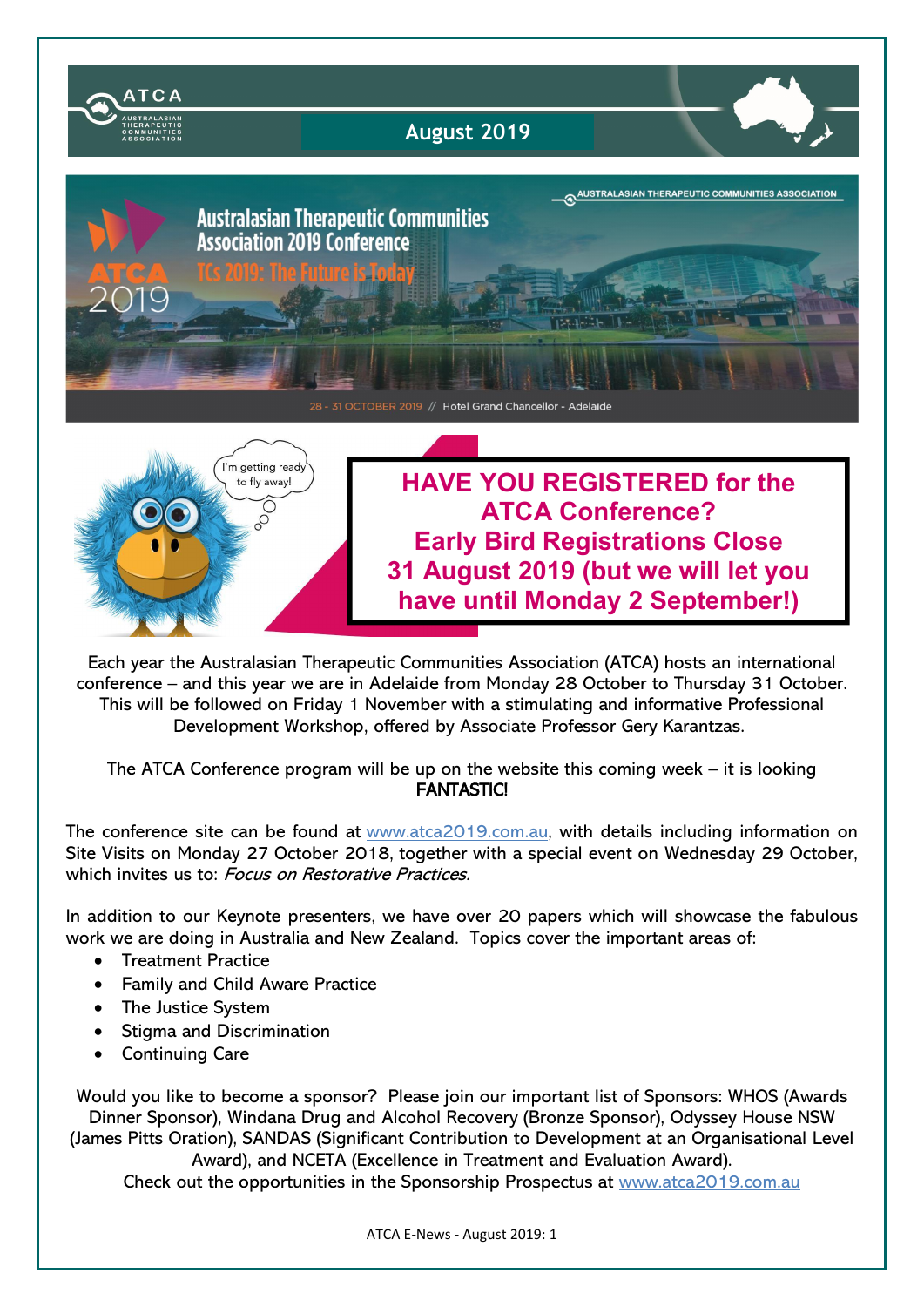

Each year the Australasian Therapeutic Communities Association (ATCA) hosts an international conference – and this year we are in Adelaide from Monday 28 October to Thursday 31 October. This will be followed on Friday 1 November with a stimulating and informative Professional Development Workshop, offered by Associate Professor Gery Karantzas.

The ATCA Conference program will be up on the website this coming week – it is looking FANTASTIC!

The conference site can be found at www.atca2019.com.au, with details including information on Site Visits on Monday 27 October 2018, together with a special event on Wednesday 29 October, which invites us to: Focus on Restorative Practices.

In addition to our Keynote presenters, we have over 20 papers which will showcase the fabulous work we are doing in Australia and New Zealand. Topics cover the important areas of:

- Treatment Practice
- Family and Child Aware Practice
- The Justice System
- Stigma and Discrimination
- Continuing Care

Would you like to become a sponsor? Please join our important list of Sponsors: WHOS (Awards Dinner Sponsor), Windana Drug and Alcohol Recovery (Bronze Sponsor), Odyssey House NSW (James Pitts Oration), SANDAS (Significant Contribution to Development at an Organisational Level Award), and NCETA (Excellence in Treatment and Evaluation Award).

Check out the opportunities in the Sponsorship Prospectus at www.atca2019.com.au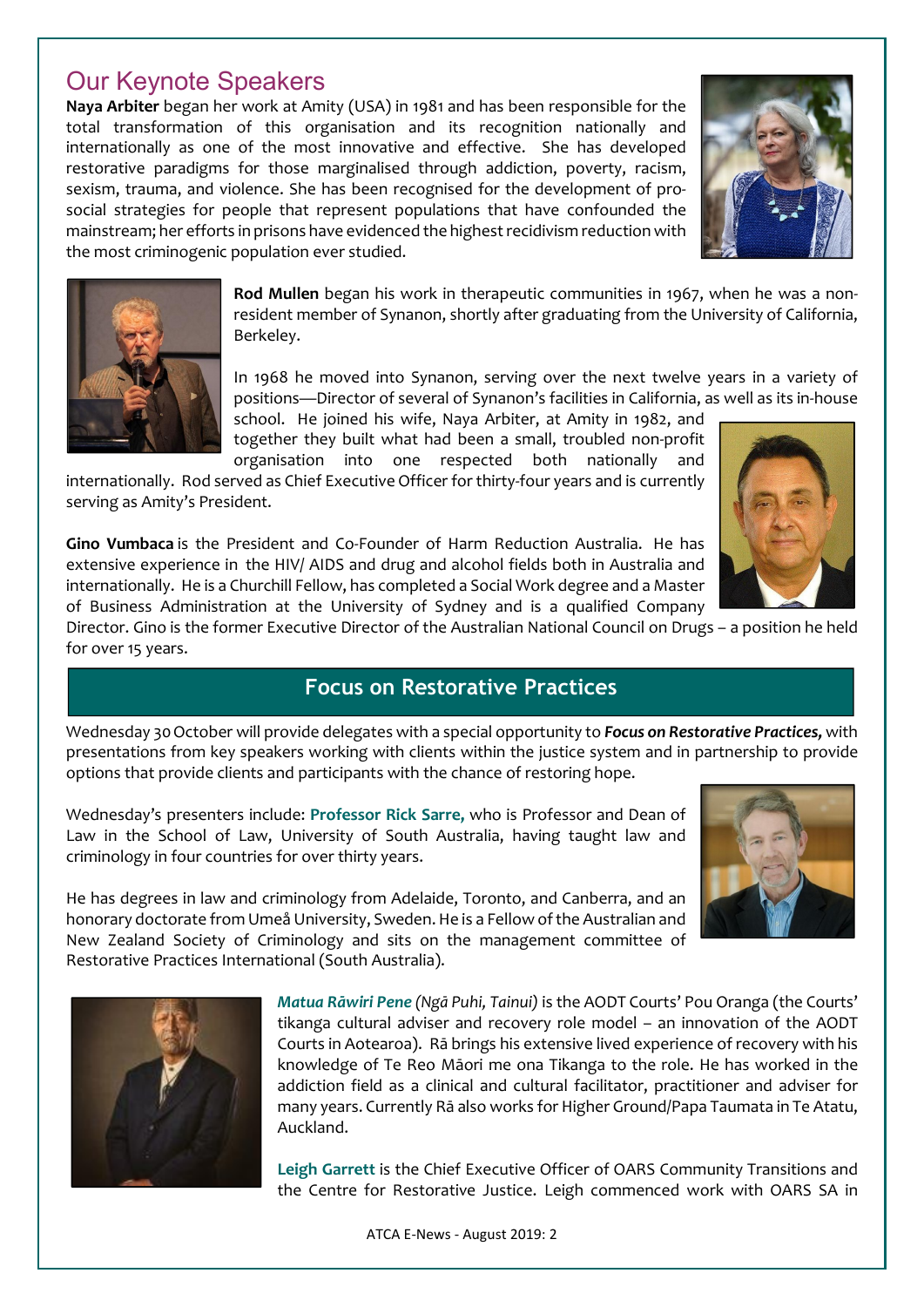# Our Keynote Speakers

Naya Arbiter began her work at Amity (USA) in 1981 and has been responsible for the total transformation of this organisation and its recognition nationally and internationally as one of the most innovative and effective. She has developed restorative paradigms for those marginalised through addiction, poverty, racism, sexism, trauma, and violence. She has been recognised for the development of prosocial strategies for people that represent populations that have confounded the mainstream; her efforts in prisons have evidenced the highest recidivism reduction with the most criminogenic population ever studied.





Rod Mullen began his work in therapeutic communities in 1967, when he was a nonresident member of Synanon, shortly after graduating from the University of California, Berkeley.

In 1968 he moved into Synanon, serving over the next twelve years in a variety of positions—Director of several of Synanon's facilities in California, as well as its in-house

school. He joined his wife, Naya Arbiter, at Amity in 1982, and together they built what had been a small, troubled non-profit organisation into one respected both nationally and

internationally. Rod served as Chief Executive Officer for thirty-four years and is currently serving as Amity's President.

Gino Vumbaca is the President and Co-Founder of Harm Reduction Australia. He has extensive experience in the HIV/ AIDS and drug and alcohol fields both in Australia and internationally. He is a Churchill Fellow, has completed a Social Work degree and a Master of Business Administration at the University of Sydney and is a qualified Company

Director. Gino is the former Executive Director of the Australian National Council on Drugs – a position he held for over 15 years.

### Focus on Restorative Practices

Wednesday 30October will provide delegates with a special opportunity to *Focus on Restorative Practices,* with presentations from key speakers working with clients within the justice system and in partnership to provide options that provide clients and participants with the chance of restoring hope.

Wednesday's presenters include: Professor Rick Sarre, who is Professor and Dean of Law in the School of Law, University of South Australia, having taught law and criminology in four countries for over thirty years.



He has degrees in law and criminology from Adelaide, Toronto, and Canberra, and an honorary doctorate from Umeå University, Sweden. He is a Fellow of the Australian and New Zealand Society of Criminology and sits on the management committee of Restorative Practices International (South Australia).



*Matua Rāwiri Pene (Ngā Puhi, Tainui)* is the AODT Courts' Pou Oranga (the Courts' tikanga cultural adviser and recovery role model – an innovation of the AODT Courts in Aotearoa). Rā brings his extensive lived experience of recovery with his knowledge of Te Reo Māori me ona Tikanga to the role. He has worked in the addiction field as a clinical and cultural facilitator, practitioner and adviser for many years. Currently Rā also works for Higher Ground/Papa Taumata in Te Atatu, Auckland.

Leigh Garrett is the Chief Executive Officer of OARS Community Transitions and the Centre for Restorative Justice. Leigh commenced work with OARS SA in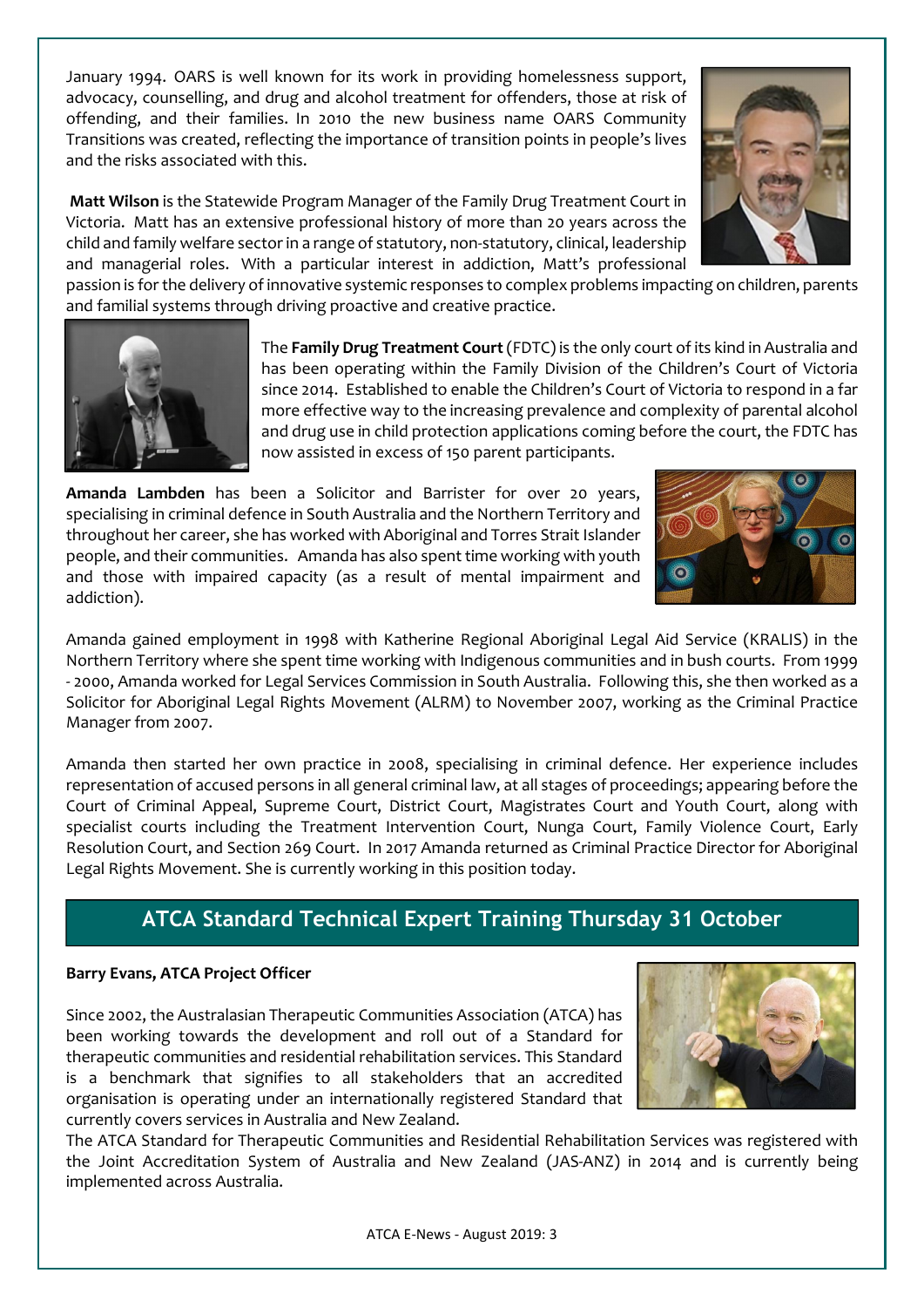January 1994. OARS is well known for its work in providing homelessness support, advocacy, counselling, and drug and alcohol treatment for offenders, those at risk of offending, and their families. In 2010 the new business name OARS Community Transitions was created, reflecting the importance of transition points in people's lives and the risks associated with this.

Matt Wilson is the Statewide Program Manager of the Family Drug Treatment Court in Victoria. Matt has an extensive professional history of more than 20 years across the child and family welfare sector in a range of statutory, non-statutory, clinical, leadership and managerial roles. With a particular interest in addiction, Matt's professional



The Family Drug Treatment Court (FDTC) is the only court of its kind in Australia and has been operating within the Family Division of the Children's Court of Victoria since 2014. Established to enable the Children's Court of Victoria to respond in a far more effective way to the increasing prevalence and complexity of parental alcohol and drug use in child protection applications coming before the court, the FDTC has now assisted in excess of 150 parent participants.

Amanda Lambden has been a Solicitor and Barrister for over 20 years, specialising in criminal defence in South Australia and the Northern Territory and throughout her career, she has worked with Aboriginal and Torres Strait Islander people, and their communities. Amanda has also spent time working with youth and those with impaired capacity (as a result of mental impairment and addiction).

Amanda gained employment in 1998 with Katherine Regional Aboriginal Legal Aid Service (KRALIS) in the Northern Territory where she spent time working with Indigenous communities and in bush courts. From 1999 - 2000, Amanda worked for Legal Services Commission in South Australia. Following this, she then worked as a Solicitor for Aboriginal Legal Rights Movement (ALRM) to November 2007, working as the Criminal Practice Manager from 2007.

Amanda then started her own practice in 2008, specialising in criminal defence. Her experience includes representation of accused persons in all general criminal law, at all stages of proceedings; appearing before the Court of Criminal Appeal, Supreme Court, District Court, Magistrates Court and Youth Court, along with specialist courts including the Treatment Intervention Court, Nunga Court, Family Violence Court, Early Resolution Court, and Section 269 Court. In 2017 Amanda returned as Criminal Practice Director for Aboriginal Legal Rights Movement. She is currently working in this position today.

## ATCA Standard Technical Expert Training Thursday 31 October

#### Barry Evans, ATCA Project Officer

Since 2002, the Australasian Therapeutic Communities Association (ATCA) has been working towards the development and roll out of a Standard for therapeutic communities and residential rehabilitation services. This Standard is a benchmark that signifies to all stakeholders that an accredited organisation is operating under an internationally registered Standard that currently covers services in Australia and New Zealand.

The ATCA Standard for Therapeutic Communities and Residential Rehabilitation Services was registered with the Joint Accreditation System of Australia and New Zealand (JAS-ANZ) in 2014 and is currently being implemented across Australia.





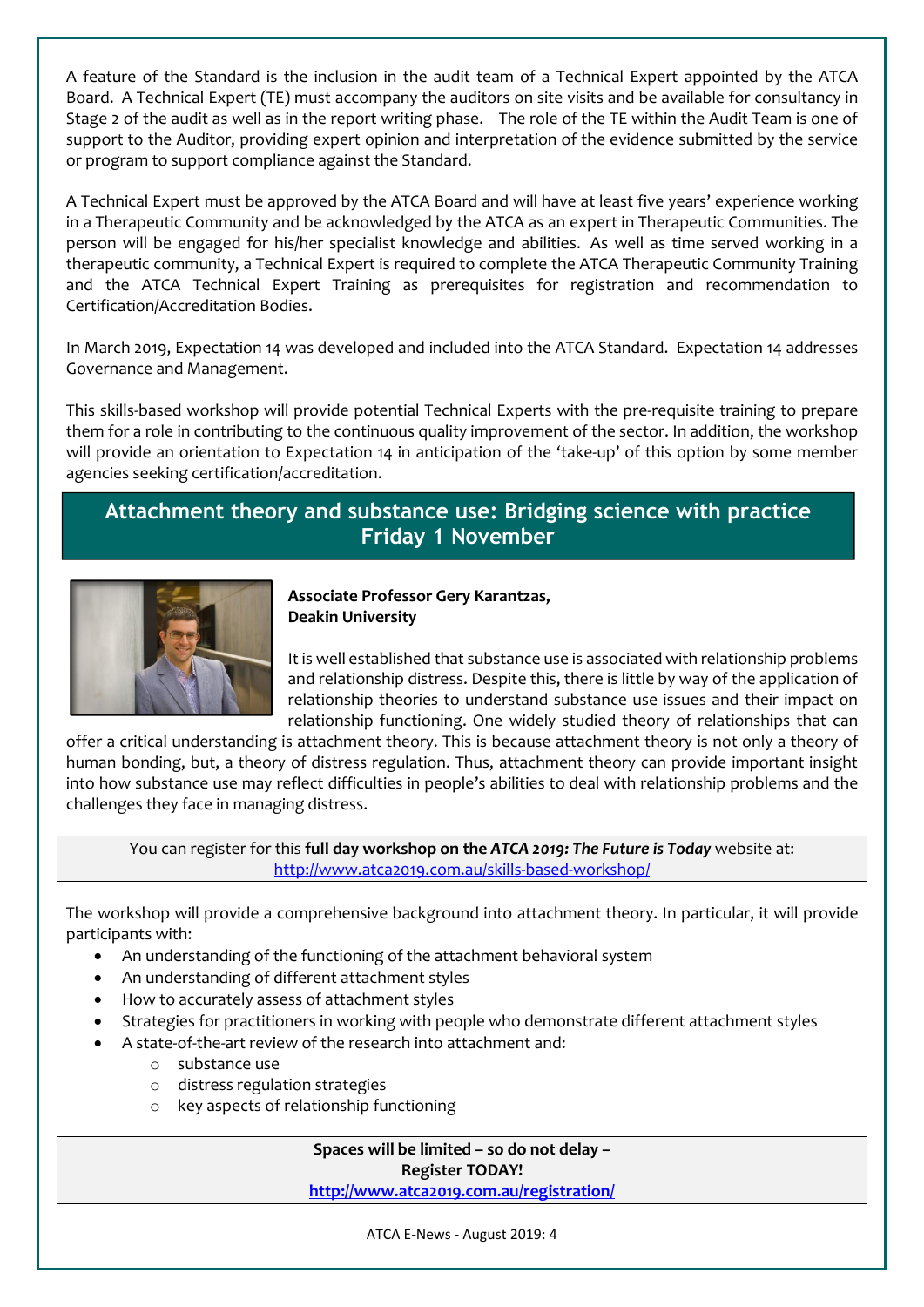A feature of the Standard is the inclusion in the audit team of a Technical Expert appointed by the ATCA Board. A Technical Expert (TE) must accompany the auditors on site visits and be available for consultancy in Stage 2 of the audit as well as in the report writing phase. The role of the TE within the Audit Team is one of support to the Auditor, providing expert opinion and interpretation of the evidence submitted by the service or program to support compliance against the Standard.

A Technical Expert must be approved by the ATCA Board and will have at least five years' experience working in a Therapeutic Community and be acknowledged by the ATCA as an expert in Therapeutic Communities. The person will be engaged for his/her specialist knowledge and abilities. As well as time served working in a therapeutic community, a Technical Expert is required to complete the ATCA Therapeutic Community Training and the ATCA Technical Expert Training as prerequisites for registration and recommendation to Certification/Accreditation Bodies.

In March 2019, Expectation 14 was developed and included into the ATCA Standard. Expectation 14 addresses Governance and Management.

This skills-based workshop will provide potential Technical Experts with the pre-requisite training to prepare them for a role in contributing to the continuous quality improvement of the sector. In addition, the workshop will provide an orientation to Expectation 14 in anticipation of the 'take-up' of this option by some member agencies seeking certification/accreditation.

## Attachment theory and substance use: Bridging science with practice Friday 1 November



#### Associate Professor Gery Karantzas, Deakin University

It is well established that substance use is associated with relationship problems and relationship distress. Despite this, there is little by way of the application of relationship theories to understand substance use issues and their impact on relationship functioning. One widely studied theory of relationships that can

offer a critical understanding is attachment theory. This is because attachment theory is not only a theory of human bonding, but, a theory of distress regulation. Thus, attachment theory can provide important insight into how substance use may reflect difficulties in people's abilities to deal with relationship problems and the challenges they face in managing distress.

You can register for this full day workshop on the *ATCA 2019: The Future is Today* website at: http://www.atca2019.com.au/skills-based-workshop/

The workshop will provide a comprehensive background into attachment theory. In particular, it will provide participants with:

- An understanding of the functioning of the attachment behavioral system
- An understanding of different attachment styles
- How to accurately assess of attachment styles
- Strategies for practitioners in working with people who demonstrate different attachment styles
- A state-of-the-art review of the research into attachment and:
	- o substance use
	- o distress regulation strategies
	- o key aspects of relationship functioning

Spaces will be limited – so do not delay – Register TODAY! http://www.atca2019.com.au/registration/

ATCA E-News - August 2019: 4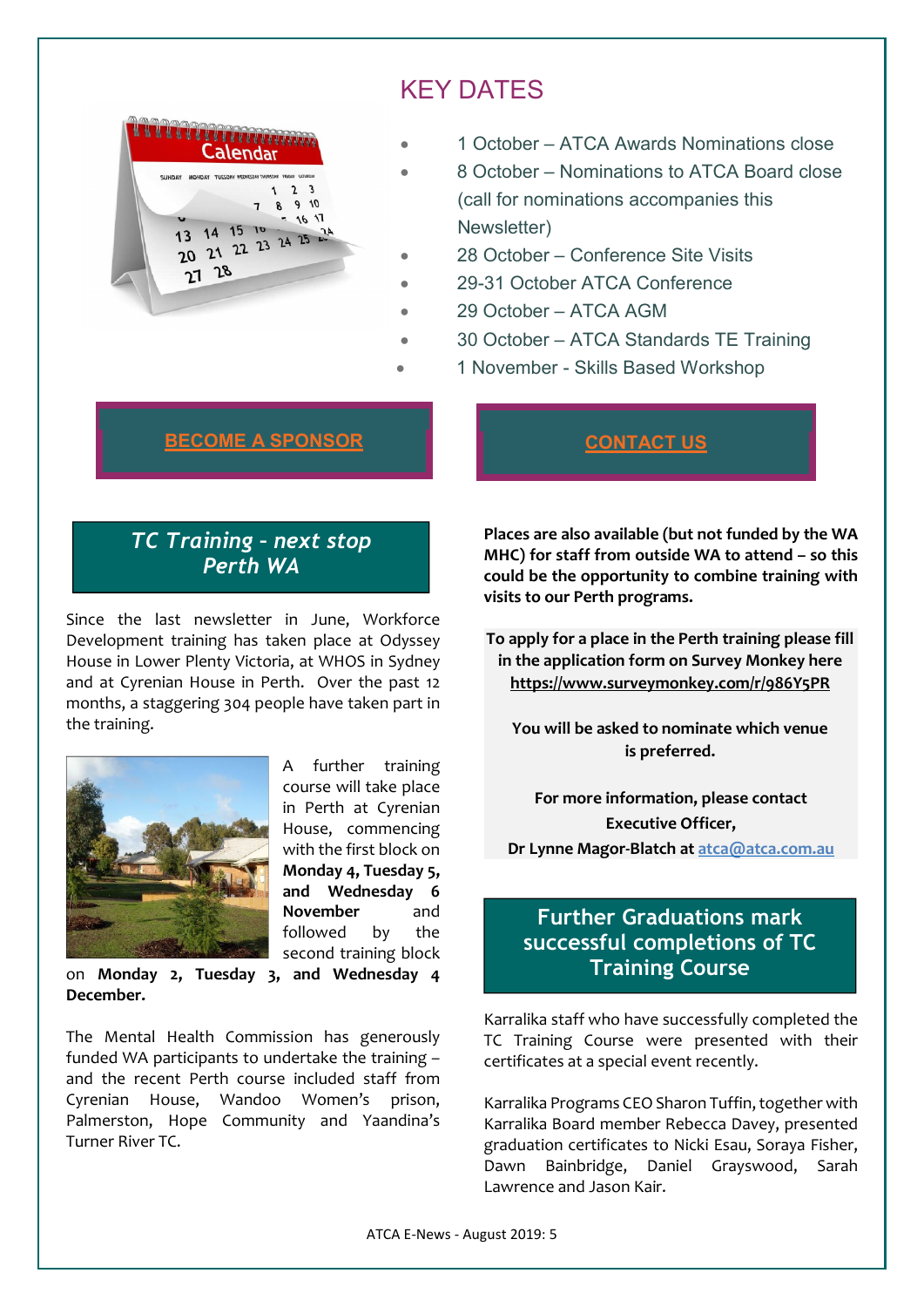

# KEY DATES

- 1 October ATCA Awards Nominations close
- 8 October Nominations to ATCA Board close (call for nominations accompanies this Newsletter)
- 28 October Conference Site Visits
- 29-31 October ATCA Conference
- 29 October ATCA AGM
- 30 October ATCA Standards TE Training
- 1 November Skills Based Workshop

### BECOME A SPONSOR THE RESERVE CONTACT US

# *TC Training – next stop Perth WA*

Since the last newsletter in June, Workforce Development training has taken place at Odyssey House in Lower Plenty Victoria, at WHOS in Sydney and at Cyrenian House in Perth. Over the past 12 months, a staggering 304 people have taken part in the training.



A further training course will take place in Perth at Cyrenian House, commencing with the first block on Monday 4, Tuesday 5, and Wednesday 6 November and followed by the second training block

on Monday 2, Tuesday 3, and Wednesday 4 December.

The Mental Health Commission has generously funded WA participants to undertake the training – and the recent Perth course included staff from Cyrenian House, Wandoo Women's prison, Palmerston, Hope Community and Yaandina's Turner River TC.

Places are also available (but not funded by the WA MHC) for staff from outside WA to attend – so this could be the opportunity to combine training with visits to our Perth programs.

To apply for a place in the Perth training please fill in the application form on Survey Monkey here https://www.surveymonkey.com/r/986Y5PR

You will be asked to nominate which venue is preferred.

For more information, please contact Executive Officer, Dr Lynne Magor-Blatch at atca@atca.com.au

## Further Graduations mark successful completions of TC Training Course

Karralika staff who have successfully completed the TC Training Course were presented with their certificates at a special event recently.

Karralika Programs CEOSharon Tuffin, together with Karralika Board member Rebecca Davey, presented graduation certificates to Nicki Esau, Soraya Fisher, Dawn Bainbridge, Daniel Grayswood, Sarah Lawrence and Jason Kair.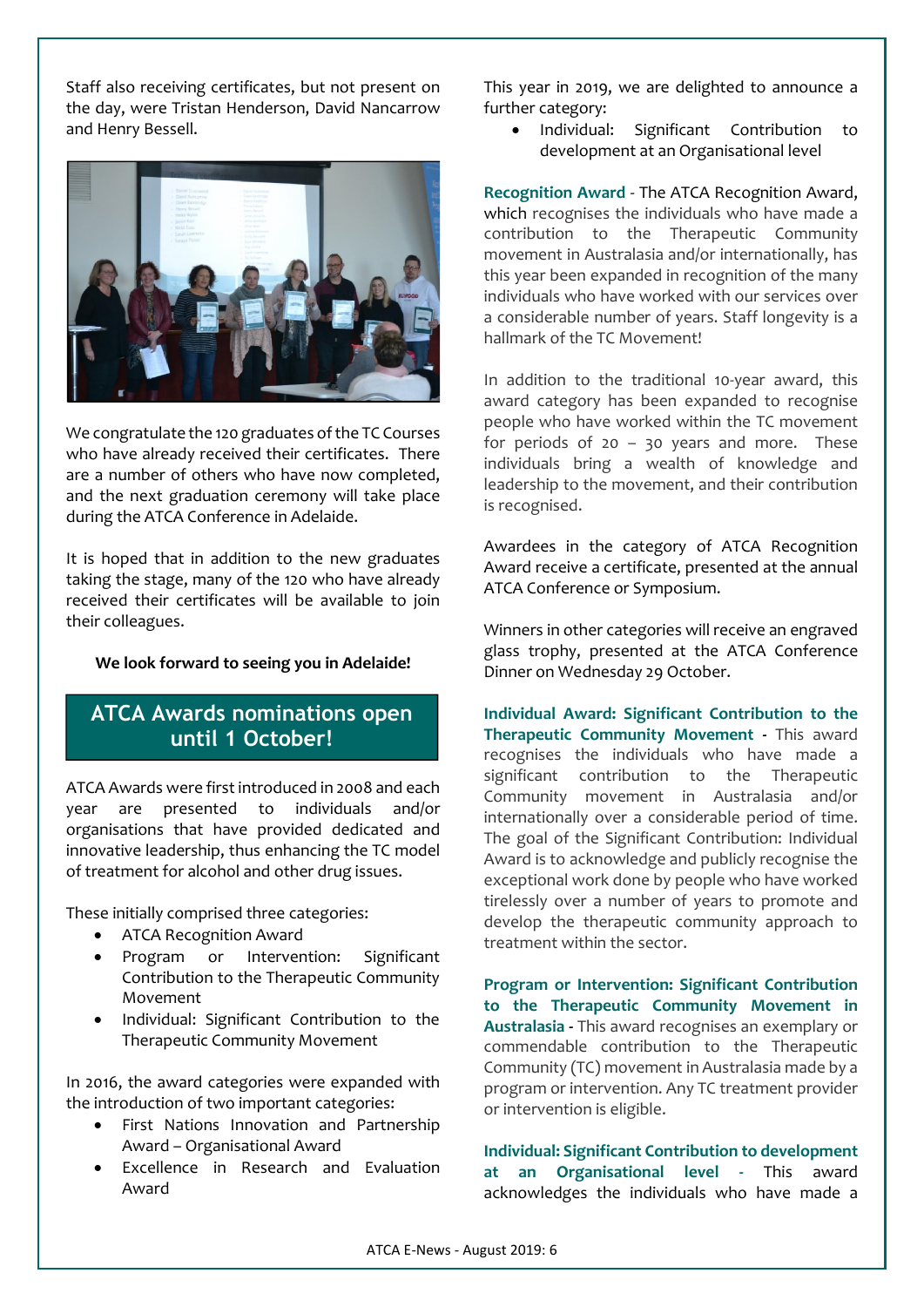Staff also receiving certificates, but not present on the day, were Tristan Henderson, David Nancarrow and Henry Bessell.



We congratulate the 120 graduates of the TC Courses who have already received their certificates. There are a number of others who have now completed, and the next graduation ceremony will take place during the ATCA Conference in Adelaide.

It is hoped that in addition to the new graduates taking the stage, many of the 120 who have already received their certificates will be available to join their colleagues.

#### We look forward to seeing you in Adelaide!

### ATCA Awards nominations open until 1 October!

ATCA Awards were first introduced in 2008 and each year are presented to individuals and/or organisations that have provided dedicated and innovative leadership, thus enhancing the TC model of treatment for alcohol and other drug issues.

These initially comprised three categories:

- ATCA Recognition Award
- Program or Intervention: Significant Contribution to the Therapeutic Community Movement
- Individual: Significant Contribution to the Therapeutic Community Movement

In 2016, the award categories were expanded with the introduction of two important categories:

- First Nations Innovation and Partnership Award – Organisational Award
- Excellence in Research and Evaluation Award

This year in 2019, we are delighted to announce a further category:

• Individual: Significant Contribution to development at an Organisational level

Recognition Award - The ATCA Recognition Award, which recognises the individuals who have made a contribution to the Therapeutic Community movement in Australasia and/or internationally, has this year been expanded in recognition of the many individuals who have worked with our services over a considerable number of years. Staff longevity is a hallmark of the TC Movement!

In addition to the traditional 10-year award, this award category has been expanded to recognise people who have worked within the TC movement for periods of  $20 - 30$  years and more. These individuals bring a wealth of knowledge and leadership to the movement, and their contribution is recognised.

Awardees in the category of ATCA Recognition Award receive a certificate, presented at the annual ATCA Conference or Symposium.

Winners in other categories will receive an engraved glass trophy, presented at the ATCA Conference Dinner on Wednesday 29 October.

Individual Award: Significant Contribution to the Therapeutic Community Movement - This award recognises the individuals who have made a significant contribution to the Therapeutic Community movement in Australasia and/or internationally over a considerable period of time. The goal of the Significant Contribution: Individual Award is to acknowledge and publicly recognise the exceptional work done by people who have worked tirelessly over a number of years to promote and develop the therapeutic community approach to treatment within the sector.

Program or Intervention: Significant Contribution to the Therapeutic Community Movement in Australasia - This award recognises an exemplary or commendable contribution to the Therapeutic Community (TC) movement in Australasia made by a program or intervention. Any TC treatment provider or intervention is eligible.

Individual: Significant Contribution to development at an Organisational level - This award acknowledges the individuals who have made a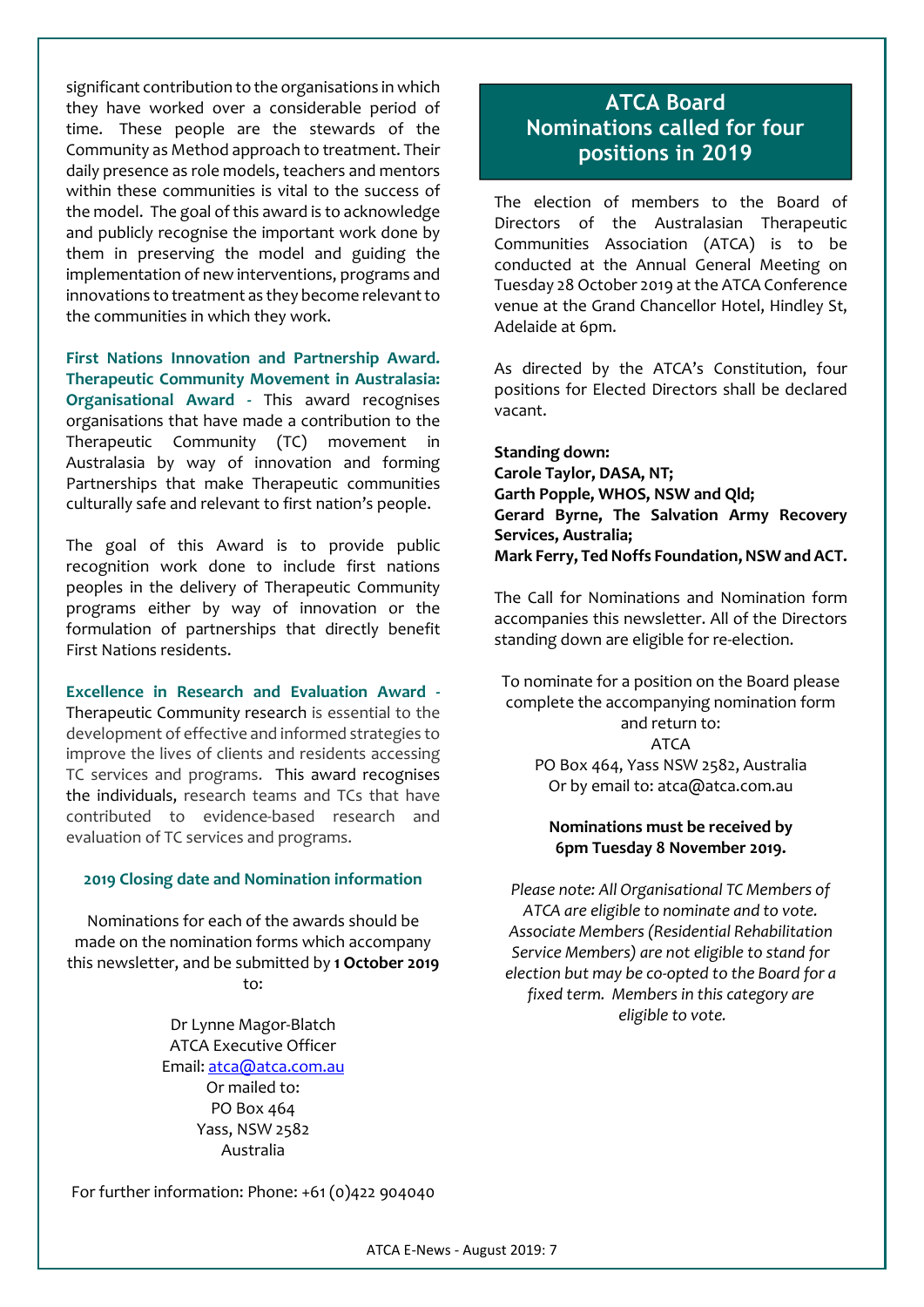significant contribution to the organisations in which they have worked over a considerable period of time. These people are the stewards of the Community as Method approach to treatment. Their daily presence as role models, teachers and mentors within these communities is vital to the success of the model. The goal of this award is to acknowledge and publicly recognise the important work done by them in preserving the model and guiding the implementation of new interventions, programs and innovations to treatment as they become relevant to the communities in which they work.

First Nations Innovation and Partnership Award. Therapeutic Community Movement in Australasia: Organisational Award - This award recognises organisations that have made a contribution to the Therapeutic Community (TC) movement in Australasia by way of innovation and forming Partnerships that make Therapeutic communities culturally safe and relevant to first nation's people.

The goal of this Award is to provide public recognition work done to include first nations peoples in the delivery of Therapeutic Community programs either by way of innovation or the formulation of partnerships that directly benefit First Nations residents.

Excellence in Research and Evaluation Award - Therapeutic Community research is essential to the development of effective and informed strategies to improve the lives of clients and residents accessing TC services and programs. This award recognises the individuals, research teams and TCs that have contributed to evidence-based research and evaluation of TC services and programs.

#### 2019 Closing date and Nomination information

Nominations for each of the awards should be made on the nomination forms which accompany this newsletter, and be submitted by 1 October 2019 to:

> Dr Lynne Magor-Blatch ATCA Executive Officer Email: atca@atca.com.au Or mailed to: PO Box 464 Yass, NSW 2582 Australia

ATCA Board Nominations called for four positions in 2019

The election of members to the Board of Directors of the Australasian Therapeutic Communities Association (ATCA) is to be conducted at the Annual General Meeting on Tuesday 28 October 2019 at the ATCA Conference venue at the Grand Chancellor Hotel, Hindley St, Adelaide at 6pm.

As directed by the ATCA's Constitution, four positions for Elected Directors shall be declared vacant.

Standing down: Carole Taylor, DASA, NT; Garth Popple, WHOS, NSW and Qld; Gerard Byrne, The Salvation Army Recovery Services, Australia; Mark Ferry, Ted Noffs Foundation, NSW and ACT.

The Call for Nominations and Nomination form accompanies this newsletter. All of the Directors standing down are eligible for re-election.

To nominate for a position on the Board please complete the accompanying nomination form and return to: ATCA PO Box 464, Yass NSW 2582, Australia Or by email to: atca@atca.com.au

#### Nominations must be received by 6pm Tuesday 8 November 2019.

*Please note: All Organisational TC Members of ATCA are eligible to nominate and to vote. Associate Members (Residential Rehabilitation Service Members) are not eligible to stand for election but may be co-opted to the Board for a fixed term. Members in this category are eligible to vote.*

For further information: Phone: +61 (0)422 904040